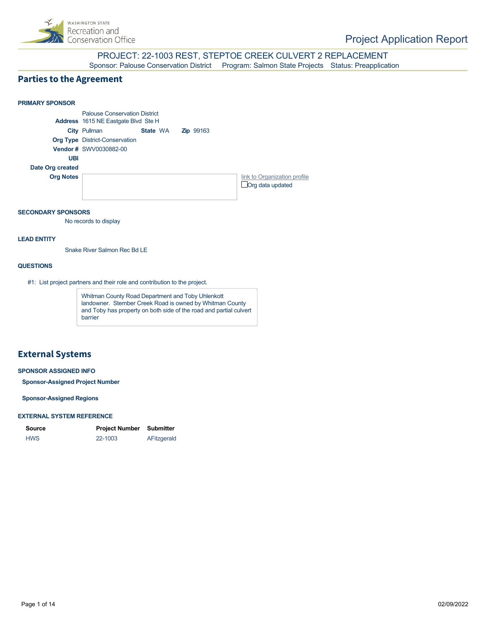

### PROJECT: 22-1003 REST, STEPTOE CREEK CULVERT 2 REPLACEMENT Sponsor: Palouse Conservation District Program: Salmon State Projects Status: Preapplication

## **Parties to the Agreement**



### **SECONDARY SPONSORS**

No records to display

### **LEAD ENTITY**

Snake River Salmon Rec Bd LE

### **QUESTIONS**

#1: List project partners and their role and contribution to the project.

Whitman County Road Department and Toby Uhlenkott landowner. Stember Creek Road is owned by Whitman County and Toby has property on both side of the road and partial culvert barrier

## **External Systems**

### **SPONSOR ASSIGNED INFO**

**Sponsor-Assigned Project Number**

**Sponsor-Assigned Regions**

#### **EXTERNAL SYSTEM REFERENCE**

| Source     | <b>Project Number</b> | Submitter   |
|------------|-----------------------|-------------|
| <b>HWS</b> | 22-1003               | AFitzgerald |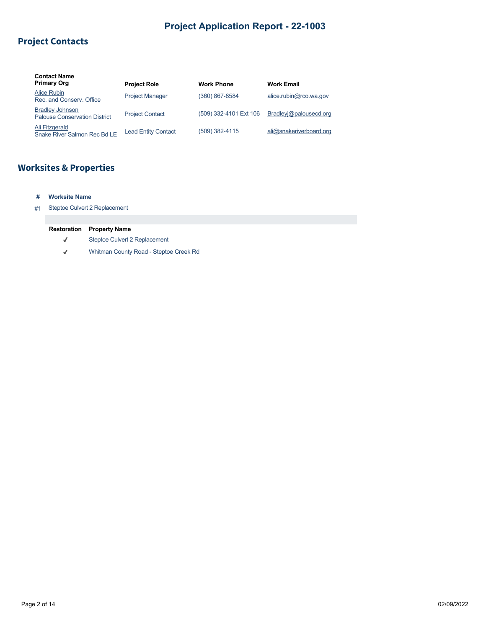# **Project Contacts**

| <b>Contact Name</b><br><b>Primary Org</b>                      | <b>Project Role</b>        | <b>Work Phone</b>      | <b>Work Email</b>       |
|----------------------------------------------------------------|----------------------------|------------------------|-------------------------|
| Alice Rubin<br>Rec. and Conserv. Office                        | <b>Project Manager</b>     | (360) 867-8584         | alice.rubin@rco.wa.gov  |
| <b>Bradley Johnson</b><br><b>Palouse Conservation District</b> | <b>Project Contact</b>     | (509) 332-4101 Ext 106 | Bradleyi@palousecd.org  |
| Ali Fitzgerald<br>Snake River Salmon Rec Bd LE                 | <b>Lead Entity Contact</b> | (509) 382-4115         | ali@snakeriverboard.org |

# **Worksites & Properties**

### **# Worksite Name**

### #1 Steptoe Culvert 2 Replacement

### **Restoration Property Name**

- $\checkmark$ Steptoe Culvert 2 Replacement
- $\checkmark$ Whitman County Road - Steptoe Creek Rd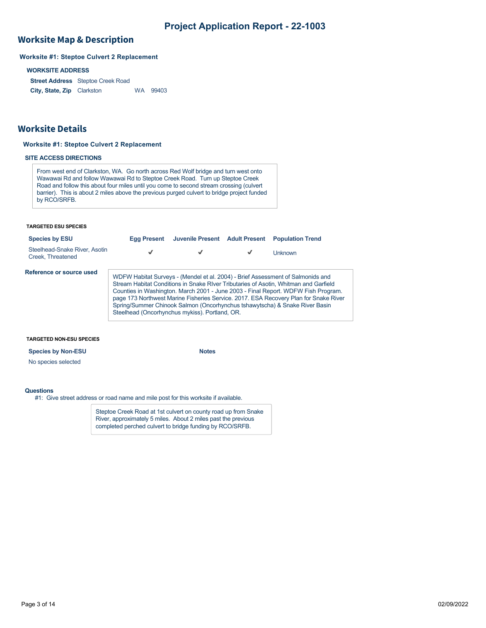## **Worksite Map & Description**

**Worksite #1: Steptoe Culvert 2 Replacement**

### **WORKSITE ADDRESS**

**Street Address** Steptoe Creek Road **City, State, Zip** WA 99403

## **Worksite Details**

### **Worksite #1: Steptoe Culvert 2 Replacement**

### **SITE ACCESS DIRECTIONS**

From west end of Clarkston, WA. Go north across Red Wolf bridge and turn west onto Wawawai Rd and follow Wawawai Rd to Steptoe Creek Road. Turn up Steptoe Creek Road and follow this about four miles until you come to second stream crossing (culvert barrier). This is about 2 miles above the previous purged culvert to bridge project funded by RCO/SRFB.

#### **TARGETED ESU SPECIES**

| <b>Species by ESU</b>                              | <b>Egg Present</b>                                                                                                                                                                                                                                                                                                                                                                                                                                                                    | Juvenile Present Adult Present |  | <b>Population Trend</b> |
|----------------------------------------------------|---------------------------------------------------------------------------------------------------------------------------------------------------------------------------------------------------------------------------------------------------------------------------------------------------------------------------------------------------------------------------------------------------------------------------------------------------------------------------------------|--------------------------------|--|-------------------------|
| Steelhead-Snake River, Asotin<br>Creek, Threatened |                                                                                                                                                                                                                                                                                                                                                                                                                                                                                       | $\checkmark$                   |  | <b>Unknown</b>          |
| Reference or source used                           | WDFW Habitat Surveys - (Mendel et al. 2004) - Brief Assessment of Salmonids and<br>Stream Habitat Conditions in Snake RIver Tributaries of Asotin, Whitman and Garfield<br>Counties in Washington. March 2001 - June 2003 - Final Report. WDFW Fish Program.<br>page 173 Northwest Marine Fisheries Service. 2017. ESA Recovery Plan for Snake River<br>Spring/Summer Chinook Salmon (Oncorhynchus tshawytscha) & Snake River Basin<br>Steelhead (Oncorhynchus mykiss). Portland, OR. |                                |  |                         |

#### **TARGETED NON-ESU SPECIES**

**Species by Non-ESU Notes** 

## No species selected

#### **Questions**

#1: Give street address or road name and mile post for this worksite if available.

Steptoe Creek Road at 1st culvert on county road up from Snake River, approximately 5 miles. About 2 miles past the previous completed perched culvert to bridge funding by RCO/SRFB.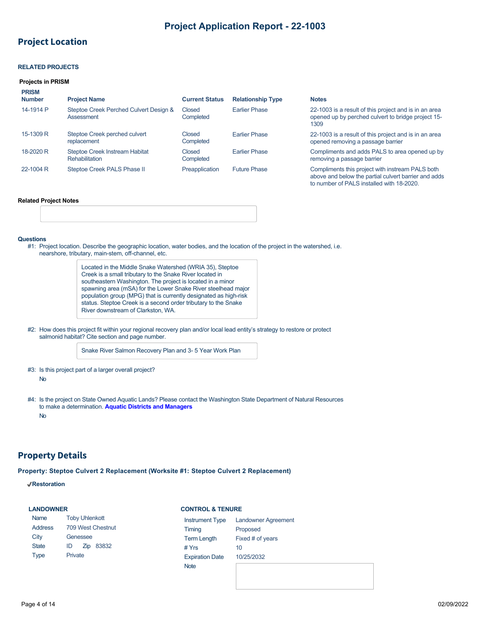## **Project Location**

### **RELATED PROJECTS**

### **Projects in PRISM**

| <b>PRISM</b><br><b>Number</b> | <b>Project Name</b>                                     | <b>Current Status</b> | <b>Relationship Type</b> | <b>Notes</b>                                                                                                        |
|-------------------------------|---------------------------------------------------------|-----------------------|--------------------------|---------------------------------------------------------------------------------------------------------------------|
| 14-1914 P                     | Steptoe Creek Perched Culvert Design &<br>Assessment    | Closed<br>Completed   | <b>Earlier Phase</b>     | 22-1003 is a result of this project and is in an area<br>opened up by perched culvert to bridge project 15-<br>1309 |
| 15-1309 R                     | Steptoe Creek perched culvert<br>replacement            | Closed<br>Completed   | <b>Earlier Phase</b>     | 22-1003 is a result of this project and is in an area<br>opened removing a passage barrier                          |
| 18-2020 R                     | <b>Steptoe Creek Instream Habitat</b><br>Rehabilitation | Closed<br>Completed   | <b>Earlier Phase</b>     | Compliments and adds PALS to area opened up by<br>removing a passage barrier                                        |
| 22-1004 R                     | Steptoe Creek PALS Phase II                             | Preapplication        | <b>Future Phase</b>      | Compliments this project with instream PALS both<br>above and below the partial culvert barrier and adds            |

to number of PALS installed with 18-2020.

#### **Related Project Notes**

#### **Questions**

#1: Project location. Describe the geographic location, water bodies, and the location of the project in the watershed, i.e. nearshore, tributary, main-stem, off-channel, etc.

> Located in the Middle Snake Watershed (WRIA 35), Steptoe Creek is a small tributary to the Snake River located in southeastern Washington. The project is located in a minor spawning area (mSA) for the Lower Snake River steelhead major population group (MPG) that is currently designated as high-risk status. Steptoe Creek is a second order tributary to the Snake River downstream of Clarkston, WA.

#2: How does this project fit within your regional recovery plan and/or local lead entity's strategy to restore or protect salmonid habitat? Cite section and page number.

Snake River Salmon Recovery Plan and 3- 5 Year Work Plan

- #3: Is this project part of a larger overall project? No
- #4: Is the project on State Owned Aquatic Lands? Please contact the Washington State Department of Natural Resources to make a determination. **[Aquatic Districts and Managers](https://www.dnr.wa.gov/programs-and-services/aquatics/aquatic-districts-and-land-managers-map)**

No

## **Property Details**

**Property: Steptoe Culvert 2 Replacement (Worksite #1: Steptoe Culvert 2 Replacement)**

### **Restoration**

### **LANDOWNER**

#### **CONTROL & TENURE**

| Name           | <b>Toby Uhlenkott</b> |  |           |
|----------------|-----------------------|--|-----------|
| <b>Address</b> | 709 West Chestnut     |  |           |
| City           | Genessee              |  |           |
| <b>State</b>   | ID                    |  | Zip 83832 |
| <b>Type</b>    | Private               |  |           |

| <b>Instrument Type</b> | <b>Landowner Agreement</b> |
|------------------------|----------------------------|
| Timing                 | Proposed                   |
| <b>Term Length</b>     | Fixed # of years           |
| # Yrs                  | 10                         |
| <b>Expiration Date</b> | 10/25/2032                 |
| <b>Note</b>            |                            |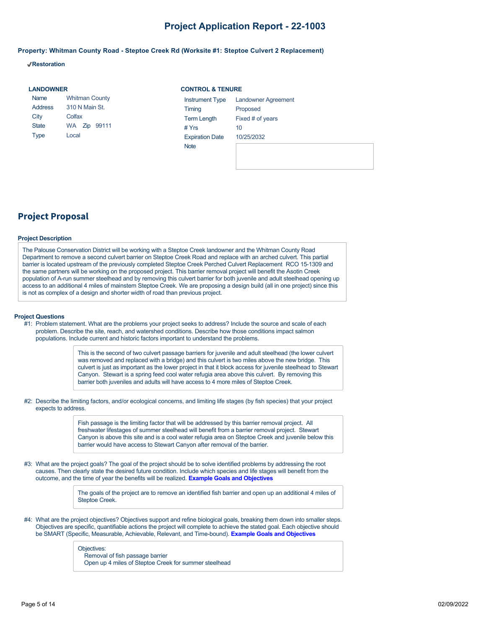#### **Property: Whitman County Road - Steptoe Creek Rd (Worksite #1: Steptoe Culvert 2 Replacement)**

#### **Restoration**

| <b>LANDOWNER</b> |                        | <b>CONTROL &amp; TENURE</b> |                            |
|------------------|------------------------|-----------------------------|----------------------------|
| Name             | <b>Whitman County</b>  | <b>Instrument Type</b>      | <b>Landowner Agreement</b> |
| <b>Address</b>   | 310 N Main St.         | Timing                      | Proposed                   |
| City             | Colfax                 | <b>Term Length</b>          | Fixed # of years           |
| <b>State</b>     | Zip 99111<br><b>WA</b> | # $Yrs$                     | 10                         |
| <b>Type</b>      | Local                  | <b>Expiration Date</b>      | 10/25/2032                 |
|                  |                        | <b>Note</b>                 |                            |
|                  |                        |                             |                            |
|                  |                        |                             |                            |

## **Project Proposal**

#### **Project Description**

The Palouse Conservation District will be working with a Steptoe Creek landowner and the Whitman County Road Department to remove a second culvert barrier on Steptoe Creek Road and replace with an arched culvert. This partial barrier is located upstream of the previously completed Steptoe Creek Perched Culvert Replacement RCO 15-1309 and the same partners will be working on the proposed project. This barrier removal project will benefit the Asotin Creek population of A-run summer steelhead and by removing this culvert barrier for both juvenile and adult steelhead opening up access to an additional 4 miles of mainstem Steptoe Creek. We are proposing a design build (all in one project) since this is not as complex of a design and shorter width of road than previous project.

#### **Project Questions**

#1: Problem statement. What are the problems your project seeks to address? Include the source and scale of each problem. Describe the site, reach, and watershed conditions. Describe how those conditions impact salmon populations. Include current and historic factors important to understand the problems.

> This is the second of two culvert passage barriers for juvenile and adult steelhead (the lower culvert was removed and replaced with a bridge) and this culvert is two miles above the new bridge. This culvert is just as important as the lower project in that it block access for juvenile steelhead to Stewart Canyon. Stewart is a spring feed cool water refugia area above this culvert. By removing this barrier both juveniles and adults will have access to 4 more miles of Steptoe Creek.

#2: Describe the limiting factors, and/or ecological concerns, and limiting life stages (by fish species) that your project expects to address.

> Fish passage is the limiting factor that will be addressed by this barrier removal project. All freshwater lifestages of summer steelhead will benefit from a barrier removal project. Stewart Canyon is above this site and is a cool water refugia area on Steptoe Creek and juvenile below this barrier would have access to Stewart Canyon after removal of the barrier.

#3: What are the project goals? The goal of the project should be to solve identified problems by addressing the root causes. Then clearly state the desired future condition. Include which species and life stages will benefit from the outcome, and the time of year the benefits will be realized. **[Example Goals and Objectives](https://rco.wa.gov/wp-content/uploads/2020/02/SRFB-Goals-and-Objectives-Examples.docx)**

> The goals of the project are to remove an identified fish barrier and open up an additional 4 miles of Steptoe Creek.

#4: What are the project objectives? Objectives support and refine biological goals, breaking them down into smaller steps. Objectives are specific, quantifiable actions the project will complete to achieve the stated goal. Each objective should be SMART (Specific, Measurable, Achievable, Relevant, and Time-bound). **[Example Goals and Objectives](https://rco.wa.gov/wp-content/uploads/2020/02/SRFB-Goals-and-Objectives-Examples.docx)**

#### Objectives: Removal of fish passage barrier

Open up 4 miles of Steptoe Creek for summer steelhead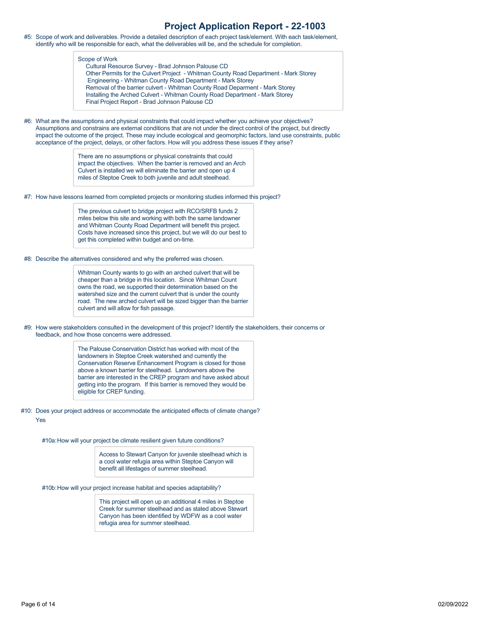#5: Scope of work and deliverables. Provide a detailed description of each project task/element. With each task/element, identify who will be responsible for each, what the deliverables will be, and the schedule for completion.

#### Scope of Work

 Cultural Resource Survey - Brad Johnson Palouse CD Other Permits for the Culvert Project - Whitman County Road Department - Mark Storey Engineering - Whitman County Road Department - Mark Storey Removal of the barrier culvert - Whitman County Road Deparment - Mark Storey Installing the Arched Culvert - Whitman County Road Department - Mark Storey Final Project Report - Brad Johnson Palouse CD

#6: What are the assumptions and physical constraints that could impact whether you achieve your objectives? Assumptions and constrains are external conditions that are not under the direct control of the project, but directly impact the outcome of the project. These may include ecological and geomorphic factors, land use constraints, public acceptance of the project, delays, or other factors. How will you address these issues if they arise?

> There are no assumptions or physical constraints that could impact the objectives. When the barrier is removed and an Arch Culvert is installed we will eliminate the barrier and open up 4 miles of Steptoe Creek to both juvenile and adult steelhead.

#7: How have lessons learned from completed projects or monitoring studies informed this project?

The previous culvert to bridge project with RCO/SRFB funds 2 miles below this site and working with both the same landowner and Whitman County Road Department will benefit this project. Costs have increased since this project, but we will do our best to get this completed within budget and on-time.

#8: Describe the alternatives considered and why the preferred was chosen.

Whitman County wants to go with an arched culvert that will be cheaper than a bridge in this location. Since Whitman Count owns the road, we supported their determination based on the watershed size and the current culvert that is under the county road. The new arched culvert will be sized bigger than the barrier culvert and will allow for fish passage.

#9: How were stakeholders consulted in the development of this project? Identify the stakeholders, their concerns or feedback, and how those concerns were addressed.

> The Palouse Conservation District has worked with most of the landowners in Steptoe Creek watershed and currently the Conservation Reserve Enhancement Program is closed for those above a known barrier for steelhead. Landowners above the barrier are interested in the CREP program and have asked about getting into the program. If this barrier is removed they would be eligible for CREP funding.

#10: Does your project address or accommodate the anticipated effects of climate change? Yes

#10a:How will your project be climate resilient given future conditions?

Access to Stewart Canyon for juvenile steelhead which is a cool water refugia area within Steptoe Canyon will benefit all lifestages of summer steelhead.

#10b:How will your project increase habitat and species adaptability?

This project will open up an additional 4 miles in Steptoe Creek for summer steelhead and as stated above Stewart Canyon has been identified by WDFW as a cool water refugia area for summer steelhead.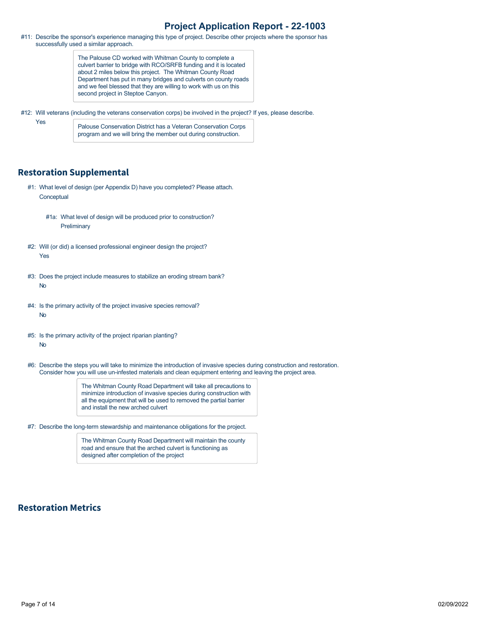#11: Describe the sponsor's experience managing this type of project. Describe other projects where the sponsor has successfully used a similar approach.

> The Palouse CD worked with Whitman County to complete a culvert barrier to bridge with RCO/SRFB funding and it is located about 2 miles below this project. The Whitman County Road Department has put in many bridges and culverts on county roads and we feel blessed that they are willing to work with us on this second project in Steptoe Canyon.

#12: Will veterans (including the veterans conservation corps) be involved in the project? If yes, please describe.

Yes

Palouse Conservation District has a Veteran Conservation Corps program and we will bring the member out during construction.

## **Restoration Supplemental**

- #1: What level of design (per Appendix D) have you completed? Please attach. **Conceptual** 
	- #1a: What level of design will be produced prior to construction? **Preliminary**
- #2: Will (or did) a licensed professional engineer design the project? Yes
- #3: Does the project include measures to stabilize an eroding stream bank? No
- #4: Is the primary activity of the project invasive species removal? No
- #5: Is the primary activity of the project riparian planting? No
- #6: Describe the steps you will take to minimize the introduction of invasive species during construction and restoration. Consider how you will use un-infested materials and clean equipment entering and leaving the project area.

The Whitman County Road Department will take all precautions to minimize introduction of invasive species during construction with all the equipment that will be used to removed the partial barrier and install the new arched culvert

#7: Describe the long-term stewardship and maintenance obligations for the project.

The Whitman County Road Department will maintain the county road and ensure that the arched culvert is functioning as designed after completion of the project

# **Restoration Metrics**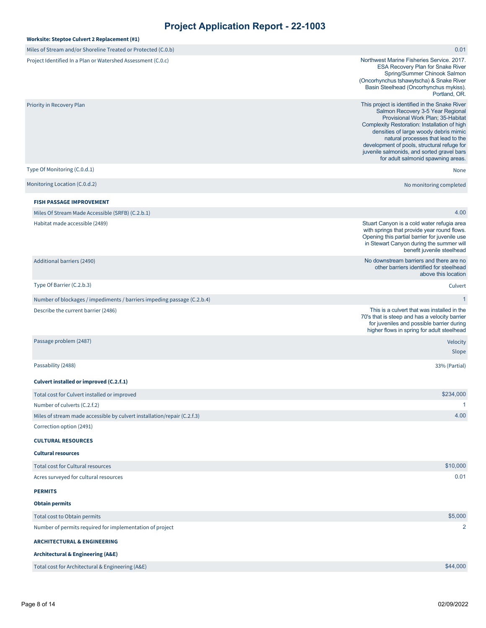| Worksite: Steptoe Culvert 2 Replacement (#1)                             |                                                                                                                                                                                                                                                                                                                                                                                           |
|--------------------------------------------------------------------------|-------------------------------------------------------------------------------------------------------------------------------------------------------------------------------------------------------------------------------------------------------------------------------------------------------------------------------------------------------------------------------------------|
| Miles of Stream and/or Shoreline Treated or Protected (C.0.b)            | 0.01                                                                                                                                                                                                                                                                                                                                                                                      |
| Project Identified In a Plan or Watershed Assessment (C.0.c)             | Northwest Marine Fisheries Service. 2017.<br><b>ESA Recovery Plan for Snake River</b><br>Spring/Summer Chinook Salmon<br>(Oncorhynchus tshawytscha) & Snake River<br>Basin Steelhead (Oncorhynchus mykiss).<br>Portland, OR.                                                                                                                                                              |
| Priority in Recovery Plan                                                | This project is identified in the Snake River<br>Salmon Recovery 3-5 Year Regional<br>Provisional Work Plan; 35-Habitat<br>Complexity Restoration: Installation of high<br>densities of large woody debris mimic<br>natural processes that lead to the<br>development of pools, structural refuge for<br>juvenile salmonids, and sorted gravel bars<br>for adult salmonid spawning areas. |
| Type Of Monitoring (C.0.d.1)                                             | None                                                                                                                                                                                                                                                                                                                                                                                      |
| Monitoring Location (C.0.d.2)                                            | No monitoring completed                                                                                                                                                                                                                                                                                                                                                                   |
| <b>FISH PASSAGE IMPROVEMENT</b>                                          |                                                                                                                                                                                                                                                                                                                                                                                           |
| Miles Of Stream Made Accessible (SRFB) (C.2.b.1)                         | 4.00                                                                                                                                                                                                                                                                                                                                                                                      |
| Habitat made accessible (2489)                                           | Stuart Canyon is a cold water refugia area<br>with springs that provide year round flows.<br>Opening this partial barrier for juvenile use<br>in Stewart Canyon during the summer will<br>benefit juvenile steelhead                                                                                                                                                                      |
| Additional barriers (2490)                                               | No downstream barriers and there are no<br>other barriers identified for steelhead<br>above this location                                                                                                                                                                                                                                                                                 |
| Type Of Barrier (C.2.b.3)                                                | Culvert                                                                                                                                                                                                                                                                                                                                                                                   |
| Number of blockages / impediments / barriers impeding passage (C.2.b.4)  | $\mathbf{1}$                                                                                                                                                                                                                                                                                                                                                                              |
| Describe the current barrier (2486)                                      | This is a culvert that was installed in the<br>70's that is steep and has a velocity barrier<br>for juveniles and possible barrier during<br>higher flows in spring for adult steelhead                                                                                                                                                                                                   |
| Passage problem (2487)                                                   | Velocity<br>Slope                                                                                                                                                                                                                                                                                                                                                                         |
| Passability (2488)                                                       | 33% (Partial)                                                                                                                                                                                                                                                                                                                                                                             |
| Culvert installed or improved (C.2.f.1)                                  |                                                                                                                                                                                                                                                                                                                                                                                           |
| Total cost for Culvert installed or improved                             | \$234,000                                                                                                                                                                                                                                                                                                                                                                                 |
| Number of culverts (C.2.f.2)                                             | 1                                                                                                                                                                                                                                                                                                                                                                                         |
| Miles of stream made accessible by culvert installation/repair (C.2.f.3) | 4.00                                                                                                                                                                                                                                                                                                                                                                                      |
| Correction option (2491)                                                 |                                                                                                                                                                                                                                                                                                                                                                                           |
| <b>CULTURAL RESOURCES</b>                                                |                                                                                                                                                                                                                                                                                                                                                                                           |
| <b>Cultural resources</b>                                                |                                                                                                                                                                                                                                                                                                                                                                                           |
| <b>Total cost for Cultural resources</b>                                 | \$10,000                                                                                                                                                                                                                                                                                                                                                                                  |
| Acres surveyed for cultural resources                                    | 0.01                                                                                                                                                                                                                                                                                                                                                                                      |
| <b>PERMITS</b>                                                           |                                                                                                                                                                                                                                                                                                                                                                                           |
| <b>Obtain permits</b>                                                    |                                                                                                                                                                                                                                                                                                                                                                                           |
| Total cost to Obtain permits                                             | \$5,000                                                                                                                                                                                                                                                                                                                                                                                   |
| Number of permits required for implementation of project                 | 2                                                                                                                                                                                                                                                                                                                                                                                         |
| <b>ARCHITECTURAL &amp; ENGINEERING</b>                                   |                                                                                                                                                                                                                                                                                                                                                                                           |
| <b>Architectural &amp; Engineering (A&amp;E)</b>                         |                                                                                                                                                                                                                                                                                                                                                                                           |
| Total cost for Architectural & Engineering (A&E)                         | \$44,000                                                                                                                                                                                                                                                                                                                                                                                  |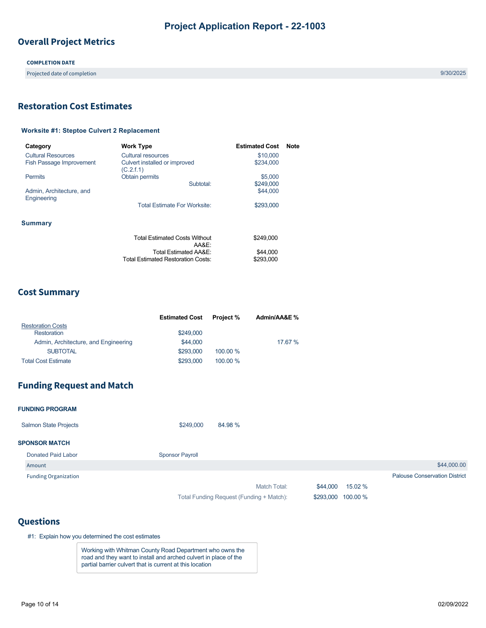# **Overall Project Metrics**

**COMPLETION DATE**

Projected date of completion 9/30/2025

# <span id="page-8-0"></span>**Restoration Cost Estimates**

### **Worksite #1: Steptoe Culvert 2 Replacement**

| Category                                | <b>Work Type</b>                              | <b>Estimated Cost</b> | Note |
|-----------------------------------------|-----------------------------------------------|-----------------------|------|
| <b>Cultural Resources</b>               | Cultural resources                            | \$10,000              |      |
| Fish Passage Improvement                | Culvert installed or improved<br>(C.2.f.1)    | \$234.000             |      |
| <b>Permits</b>                          | Obtain permits                                | \$5,000               |      |
|                                         | Subtotal:                                     | \$249,000             |      |
| Admin, Architecture, and<br>Engineering |                                               | \$44,000              |      |
|                                         | <b>Total Estimate For Worksite:</b>           | \$293,000             |      |
| <b>Summary</b>                          |                                               |                       |      |
|                                         | <b>Total Estimated Costs Without</b><br>AA&E: | \$249.000             |      |
|                                         | Total Estimated AA&E:                         | \$44,000              |      |
|                                         | <b>Total Estimated Restoration Costs:</b>     | \$293,000             |      |

## **Cost Summary**

|                                      | <b>Estimated Cost</b> | <b>Project</b> % | Admin/AA&E % |
|--------------------------------------|-----------------------|------------------|--------------|
| <b>Restoration Costs</b>             |                       |                  |              |
| Restoration                          | \$249,000             |                  |              |
| Admin, Architecture, and Engineering | \$44,000              |                  | 17.67 %      |
| <b>SUBTOTAL</b>                      | \$293,000             | 100.00 %         |              |
| <b>Total Cost Estimate</b>           | \$293,000             | 100.00 %         |              |

# **Funding Request and Match**

| <b>FUNDING PROGRAM</b>       |                                          |                     |                                      |
|------------------------------|------------------------------------------|---------------------|--------------------------------------|
| <b>Salmon State Projects</b> | \$249,000<br>84.98%                      |                     |                                      |
| <b>SPONSOR MATCH</b>         |                                          |                     |                                      |
| <b>Donated Paid Labor</b>    | <b>Sponsor Payroll</b>                   |                     |                                      |
| Amount                       |                                          |                     | \$44,000.00                          |
| <b>Funding Organization</b>  |                                          |                     | <b>Palouse Conservation District</b> |
|                              | Match Total:                             | \$44,000<br>15.02 % |                                      |
|                              | Total Funding Request (Funding + Match): | \$293,000 100.00 %  |                                      |

# **Questions**

#1: Explain how you determined the cost estimates

Working with Whitman County Road Department who owns the road and they want to install and arched culvert in place of the partial barrier culvert that is current at this location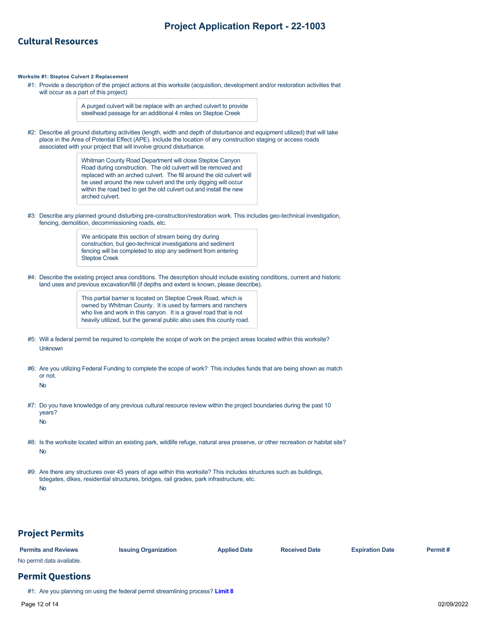## **Cultural Resources**

#### **Worksite #1: Steptoe Culvert 2 Replacement**

#1: Provide a description of the project actions at this worksite (acquisition, development and/or restoration activities that will occur as a part of this project)

> A purged culvert will be replace with an arched culvert to provide steelhead passage for an additional 4 miles on Steptoe Creek

#2: Describe all ground disturbing activities (length, width and depth of disturbance and equipment utilized) that will take place in the Area of Potential Effect (APE). Include the location of any construction staging or access roads associated with your project that will involve ground disturbance.

> Whitman County Road Department will close Steptoe Canyon Road during construction. The old culvert will be removed and replaced with an arched culvert. The fill around the old culvert will be used around the new culvert and the only digging will occur within the road bed to get the old culvert out and install the new arched culvert.

#3: Describe any planned ground disturbing pre-construction/restoration work. This includes geo-technical investigation, fencing, demolition, decommissioning roads, etc.

> We anticipate this section of stream being dry during construction, but geo-technical investigations and sediment fencing will be completed to stop any sediment from entering Steptoe Creek

#4: Describe the existing project area conditions. The description should include existing conditions, current and historic land uses and previous excavation/fill (if depths and extent is known, please describe).

> This partial barrier is located on Steptoe Creek Road, which is owned by Whitman County. It is used by farmers and ranchers who live and work in this canyon. It is a gravel road that is not heavily utilized, but the general public also uses this county road.

- #5: Will a federal permit be required to complete the scope of work on the project areas located within this worksite? Unknown
- #6: Are you utilizing Federal Funding to complete the scope of work? This includes funds that are being shown as match or not.

No

#7: Do you have knowledge of any previous cultural resource review within the project boundaries during the past 10 years?

No

- #8: Is the worksite located within an existing park, wildlife refuge, natural area preserve, or other recreation or habitat site? No
- #9: Are there any structures over 45 years of age within this worksite? This includes structures such as buildings, tidegates, dikes, residential structures, bridges, rail grades, park infrastructure, etc. No

## **Project Permits**

| <b>Permits and Reviews</b> | <b>Issuing Organization</b> | <b>Applied Date</b> | <b>Received Date</b> | <b>Expiration Date</b> | Permit# |
|----------------------------|-----------------------------|---------------------|----------------------|------------------------|---------|
| No permit data available.  |                             |                     |                      |                        |         |

## **Permit Questions**

#1: Are you planning on using the federal permit streamlining process? **[Limit 8](https://rco.wa.gov/wp-content/uploads/2019/10/SAL-PermitStreamFactSheet.pdf)**

Page 12 of 14 02/09/2022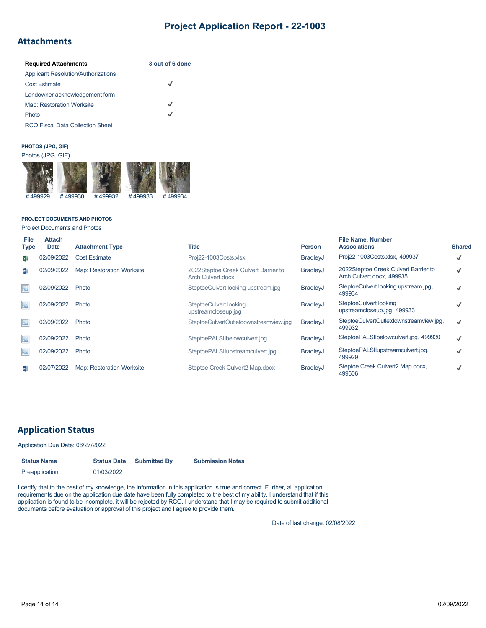# **Attachments**

| <b>Required Attachments</b>                | 3 out of 6 done |
|--------------------------------------------|-----------------|
| <b>Applicant Resolution/Authorizations</b> |                 |
| <b>Cost Estimate</b>                       | J               |
| Landowner acknowledgement form             |                 |
| <b>Map: Restoration Worksite</b>           | ✓               |
| Photo                                      | J               |
| <b>RCO Fiscal Data Collection Sheet</b>    |                 |

## **PHOTOS (JPG, GIF)**



### **PROJECT DOCUMENTS AND PHOTOS**

Project Documents and Photos

| File<br><b>Type</b> | <b>Attach</b><br><b>Date</b> | <b>Attachment Type</b>           | Title                                                     | <b>Person</b>   | <b>File Name, Number</b><br><b>Associations</b>                   | <b>Shared</b> |
|---------------------|------------------------------|----------------------------------|-----------------------------------------------------------|-----------------|-------------------------------------------------------------------|---------------|
| × ≣                 | 02/09/2022                   | <b>Cost Estimate</b>             | Proj22-1003Costs.xlsx                                     | <b>BradlevJ</b> | Proj22-1003Costs.xlsx, 499937                                     | √             |
| $w \equiv$          | 02/09/2022                   | Map: Restoration Worksite        | 2022Steptoe Creek Culvert Barrier to<br>Arch Culvert.docx | BradleyJ        | 2022Steptoe Creek Culvert Barrier to<br>Arch Culvert.docx, 499935 |               |
| $\infty$            | 02/09/2022                   | Photo                            | SteptoeCulvert looking upstream.jpg                       | BradleyJ        | SteptoeCulvert looking upstream.jpg,<br>499934                    |               |
| $\triangle^{\circ}$ | 02/09/2022                   | Photo                            | SteptoeCulvert looking<br>upstreamcloseup.jpg             | BradleyJ        | SteptoeCulvert looking<br>upstreamcloseup.jpg, 499933             |               |
| $\infty$            | 02/09/2022                   | Photo                            | SteptoeCulvertOutletdownstreamview.jpg                    | BradleyJ        | SteptoeCulvertOutletdownstreamview.jpg,<br>499932                 | J             |
| $\Delta^{\circ}$    | 02/09/2022                   | Photo                            | SteptoePALSIIbelowculvert.jpg                             | BradleyJ        | SteptoePALSIIbelowculvert.jpg, 499930                             | √             |
| $\frac{1}{2}$       | 02/09/2022                   | Photo                            | SteptoePALSIIupstreamculvert.jpg                          | BradleyJ        | SteptoePALSIIupstreamculvert.jpg.<br>499929                       |               |
| $w \equiv$          | 02/07/2022                   | <b>Map: Restoration Worksite</b> | Steptoe Creek Culvert2 Map.docx                           | BradleyJ        | Steptoe Creek Culvert2 Map.docx,<br>499606                        |               |

# **Application Status**

### Application Due Date: 06/27/2022

| <b>Status Name</b> | <b>Status Date</b> | <b>Submitted By</b> | <b>Submission Notes</b> |
|--------------------|--------------------|---------------------|-------------------------|
| Preapplication     | 01/03/2022         |                     |                         |

I certify that to the best of my knowledge, the information in this application is true and correct. Further, all application requirements due on the application due date have been fully completed to the best of my ability. I understand that if this application is found to be incomplete, it will be rejected by RCO. I understand that I may be required to submit additional documents before evaluation or approval of this project and I agree to provide them.

Date of last change: 02/08/2022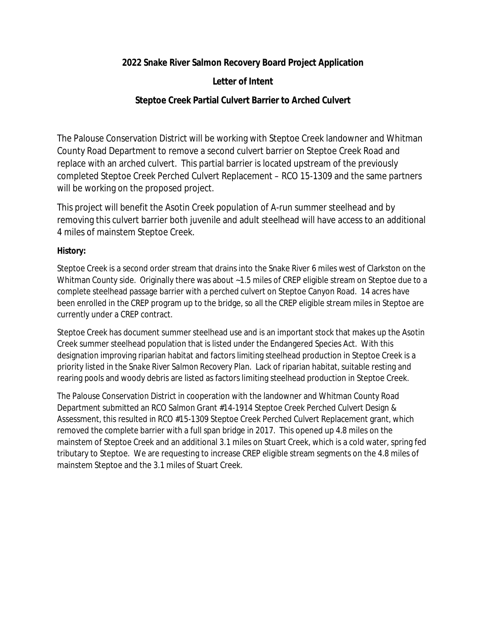# **2022 Snake River Salmon Recovery Board Project Application**

# **Letter of Intent**

# **Steptoe Creek Partial Culvert Barrier to Arched Culvert**

The Palouse Conservation District will be working with Steptoe Creek landowner and Whitman County Road Department to remove a second culvert barrier on Steptoe Creek Road and replace with an arched culvert. This partial barrier is located upstream of the previously completed Steptoe Creek Perched Culvert Replacement – RCO 15-1309 and the same partners will be working on the proposed project.

This project will benefit the Asotin Creek population of A-run summer steelhead and by removing this culvert barrier both juvenile and adult steelhead will have access to an additional 4 miles of mainstem Steptoe Creek.

## **History:**

Steptoe Creek is a second order stream that drains into the Snake River 6 miles west of Clarkston on the Whitman County side. Originally there was about ~1.5 miles of CREP eligible stream on Steptoe due to a complete steelhead passage barrier with a perched culvert on Steptoe Canyon Road. 14 acres have been enrolled in the CREP program up to the bridge, so all the CREP eligible stream miles in Steptoe are currently under a CREP contract.

Steptoe Creek has document summer steelhead use and is an important stock that makes up the Asotin Creek summer steelhead population that is listed under the Endangered Species Act. With this designation improving riparian habitat and factors limiting steelhead production in Steptoe Creek is a priority listed in the *Snake River Salmon Recovery Plan.* Lack of riparian habitat, suitable resting and rearing pools and woody debris are listed as factors limiting steelhead production in Steptoe Creek.

The Palouse Conservation District in cooperation with the landowner and Whitman County Road Department submitted an RCO Salmon Grant #14-1914 Steptoe Creek Perched Culvert Design & Assessment, this resulted in RCO #15-1309 Steptoe Creek Perched Culvert Replacement grant, which removed the complete barrier with a full span bridge in 2017. This opened up 4.8 miles on the mainstem of Steptoe Creek and an additional 3.1 miles on Stuart Creek, which is a cold water, spring fed tributary to Steptoe. We are requesting to increase CREP eligible stream segments on the 4.8 miles of mainstem Steptoe and the 3.1 miles of Stuart Creek.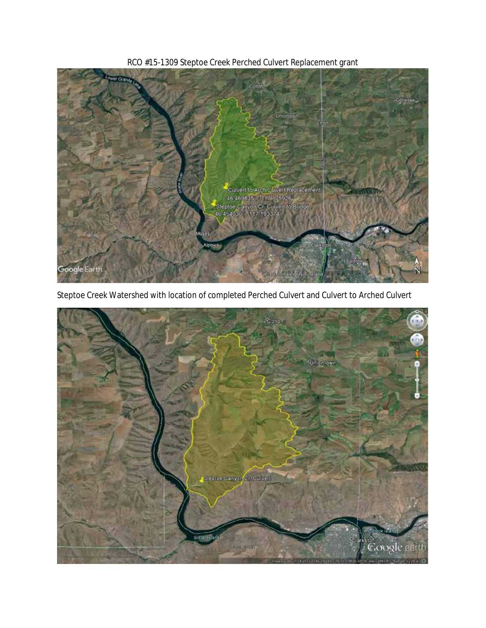

RCO #15-1309 Steptoe Creek Perched Culvert Replacement grant

Steptoe Creek Watershed with location of completed Perched Culvert and Culvert to Arched Culvert

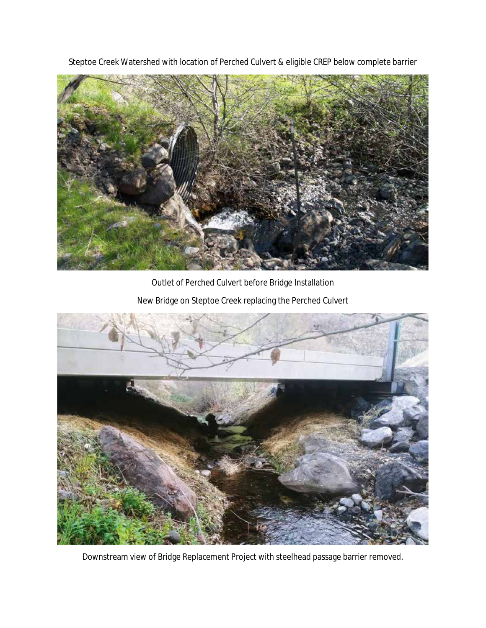Steptoe Creek Watershed with location of Perched Culvert & eligible CREP below complete barrier



Outlet of Perched Culvert before Bridge Installation

New Bridge on Steptoe Creek replacing the Perched Culvert



Downstream view of Bridge Replacement Project with steelhead passage barrier removed.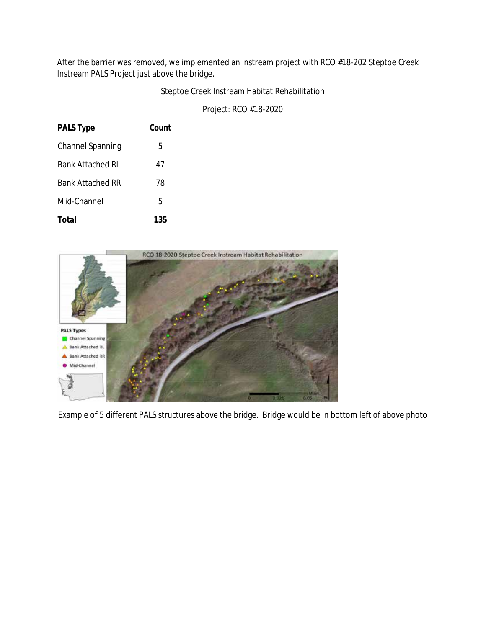After the barrier was removed, we implemented an instream project with RCO #18-202 Steptoe Creek Instream PALS Project just above the bridge.

Steptoe Creek Instream Habitat Rehabilitation

Project: RCO #18-2020

| <b>PALS Type</b>        | Count |
|-------------------------|-------|
| <b>Channel Spanning</b> | 5     |
| Bank Attached RL        | 47    |
| Bank Attached RR        | 78    |
| Mid-Channel             | 5     |
| Total                   | 135   |



Example of 5 different PALS structures above the bridge. Bridge would be in bottom left of above photo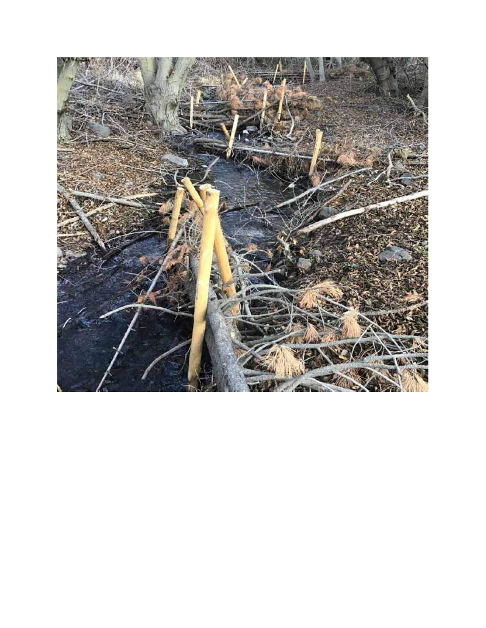